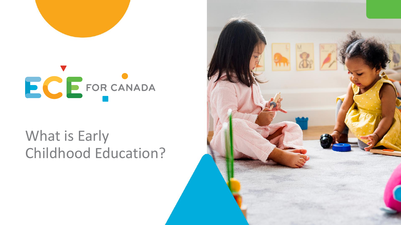



### What is Early Childhood Education?

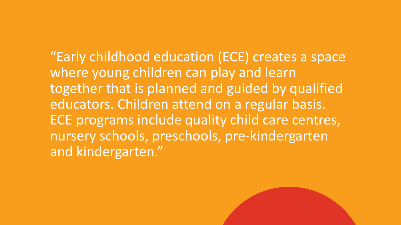"Early childhood education (ECE) creates a space where young children can play and learn together that is planned and guided by qualified educators. Children attend on a regular basis. ECE programs include quality child care centres, nursery schools, preschools, pre-kindergarten and kindergarten."

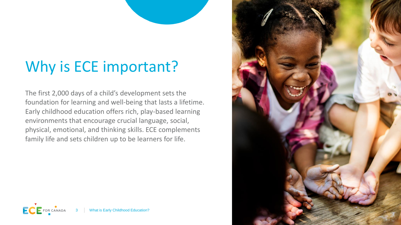# Why is ECE important?

The first 2,000 days of a child's development sets the foundation for learning and well-being that lasts a lifetime. Early childhood education offers rich, play-based learning environments that encourage crucial language, social, physical, emotional, and thinking skills. ECE complements family life and sets children up to be learners for life.



EC

**FOR CANAD**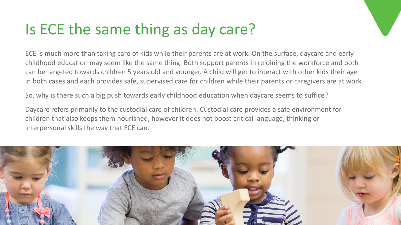### Is ECE the same thing as day care?

ECE is much more than taking care of kids while their parents are at work. On the surface, daycare and early childhood education may seem like the same thing. Both support parents in rejoining the workforce and both can be targeted towards children 5 years old and younger. A child will get to interact with other kids their age in both cases and each provides safe, supervised care for children while their parents or caregivers are at work.

So, why is there such a big push towards early childhood education when daycare seems to suffice?

Daycare refers primarily to the custodial care of children. Custodial care provides a safe environment for children that also keeps them nourished, however it does not boost critical language, thinking or interpersonal skills the way that ECE can.

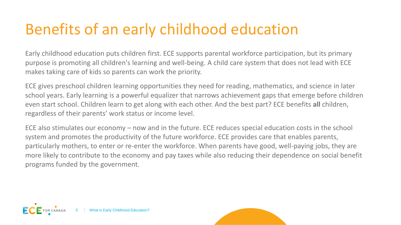# Benefits of an early childhood education

Early childhood education puts children first. ECE supports parental workforce participation, but its primary purpose is promoting all children's learning and well-being. A child care system that does not lead with ECE makes taking care of kids so parents can work the priority.

ECE gives preschool children learning opportunities they need for reading, mathematics, and science in later school years. Early learning is a powerful equalizer that narrows achievement gaps that emerge before children even start school. Children learn to get along with each other. And the best part? ECE benefits **all** children, regardless of their parents' work status or income level.

ECE also stimulates our economy – now and in the future. ECE reduces special education costs in the school system and promotes the productivity of the future workforce. ECE provides care that enables parents, particularly mothers, to enter or re-enter the workforce. When parents have good, well-paying jobs, they are more likely to contribute to the economy and pay taxes while also reducing their dependence on social benefit programs funded by the government.

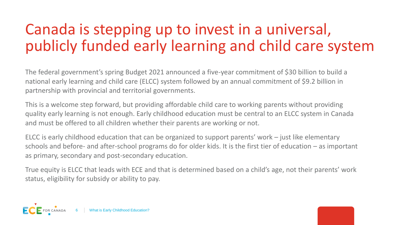### Canada is stepping up to invest in a universal, publicly funded early learning and child care system

The federal government's spring Budget 2021 announced a five-year commitment of \$30 billion to build a national early learning and child care (ELCC) system followed by an annual commitment of \$9.2 billion in partnership with provincial and territorial governments.

This is a welcome step forward, but providing affordable child care to working parents without providing quality early learning is not enough. Early childhood education must be central to an ELCC system in Canada and must be offered to all children whether their parents are working or not.

ELCC is early childhood education that can be organized to support parents' work – just like elementary schools and before- and after-school programs do for older kids. It is the first tier of education – as important as primary, secondary and post-secondary education.

True equity is ELCC that leads with ECE and that is determined based on a child's age, not their parents' work status, eligibility for subsidy or ability to pay.